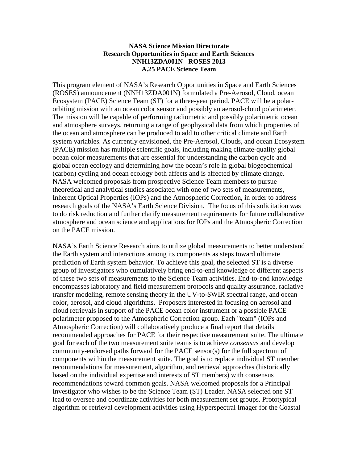### **NASA Science Mission Directorate Research Opportunities in Space and Earth Sciences NNH13ZDA001N - ROSES 2013 A.25 PACE Science Team**

This program element of NASA's Research Opportunities in Space and Earth Sciences (ROSES) announcement (NNH13ZDA001N) formulated a Pre-Aerosol, Cloud, ocean Ecosystem (PACE) Science Team (ST) for a three-year period. PACE will be a polarorbiting mission with an ocean color sensor and possibly an aerosol-cloud polarimeter. The mission will be capable of performing radiometric and possibly polarimetric ocean and atmosphere surveys, returning a range of geophysical data from which properties of the ocean and atmosphere can be produced to add to other critical climate and Earth system variables. As currently envisioned, the Pre-Aerosol, Clouds, and ocean Ecosystem (PACE) mission has multiple scientific goals, including making climate-quality global ocean color measurements that are essential for understanding the carbon cycle and global ocean ecology and determining how the ocean's role in global biogeochemical (carbon) cycling and ocean ecology both affects and is affected by climate change. NASA welcomed proposals from prospective Science Team members to pursue theoretical and analytical studies associated with one of two sets of measurements, Inherent Optical Properties (IOPs) and the Atmospheric Correction, in order to address research goals of the NASA's Earth Science Division. The focus of this solicitation was to do risk reduction and further clarify measurement requirements for future collaborative atmosphere and ocean science and applications for IOPs and the Atmospheric Correction on the PACE mission.

NASA's Earth Science Research aims to utilize global measurements to better understand the Earth system and interactions among its components as steps toward ultimate prediction of Earth system behavior. To achieve this goal, the selected ST is a diverse group of investigators who cumulatively bring end-to-end knowledge of different aspects of these two sets of measurements to the Science Team activities. End-to-end knowledge encompasses laboratory and field measurement protocols and quality assurance, radiative transfer modeling, remote sensing theory in the UV-to-SWIR spectral range, and ocean color, aerosol, and cloud algorithms. Proposers interested in focusing on aerosol and cloud retrievals in support of the PACE ocean color instrument or a possible PACE polarimeter proposed to the Atmospheric Correction group. Each "team" (IOPs and Atmospheric Correction) will collaboratively produce a final report that details recommended approaches for PACE for their respective measurement suite. The ultimate goal for each of the two measurement suite teams is to achieve *consensus* and develop community-endorsed paths forward for the PACE sensor(s) for the full spectrum of components within the measurement suite. The goal is to replace individual ST member recommendations for measurement, algorithm, and retrieval approaches (historically based on the individual expertise and interests of ST members) with consensus recommendations toward common goals. NASA welcomed proposals for a Principal Investigator who wishes to be the Science Team (ST) Leader. NASA selected one ST lead to oversee and coordinate activities for both measurement set groups. Prototypical algorithm or retrieval development activities using Hyperspectral Imager for the Coastal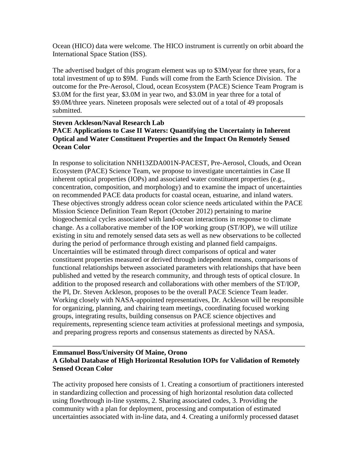Ocean (HICO) data were welcome. The HICO instrument is currently on orbit aboard the International Space Station (ISS).

The advertised budget of this program element was up to \$3M/year for three years, for a total investment of up to \$9M. Funds will come from the Earth Science Division. The outcome for the Pre-Aerosol, Cloud, ocean Ecosystem (PACE) Science Team Program is \$3.0M for the first year, \$3.0M in year two, and \$3.0M in year three for a total of \$9.0M/three years. Nineteen proposals were selected out of a total of 49 proposals submitted.

## **Steven Ackleson/Naval Research Lab PACE Applications to Case II Waters: Quantifying the Uncertainty in Inherent Optical and Water Constituent Properties and the Impact On Remotely Sensed Ocean Color**

In response to solicitation NNH13ZDA001N-PACEST, Pre-Aerosol, Clouds, and Ocean Ecosystem (PACE) Science Team, we propose to investigate uncertainties in Case II inherent optical properties (IOPs) and associated water constituent properties (e.g., concentration, composition, and morphology) and to examine the impact of uncertainties on recommended PACE data products for coastal ocean, estuarine, and inland waters. These objectives strongly address ocean color science needs articulated within the PACE Mission Science Definition Team Report (October 2012) pertaining to marine biogeochemical cycles associated with land-ocean interactions in response to climate change. As a collaborative member of the IOP working group (ST/IOP), we will utilize existing in situ and remotely sensed data sets as well as new observations to be collected during the period of performance through existing and planned field campaigns. Uncertainties will be estimated through direct comparisons of optical and water constituent properties measured or derived through independent means, comparisons of functional relationships between associated parameters with relationships that have been published and vetted by the research community, and through tests of optical closure. In addition to the proposed research and collaborations with other members of the ST/IOP, the PI, Dr. Steven Ackleson, proposes to be the overall PACE Science Team leader. Working closely with NASA-appointed representatives, Dr. Ackleson will be responsible for organizing, planning, and chairing team meetings, coordinating focused working groups, integrating results, building consensus on PACE science objectives and requirements, representing science team activities at professional meetings and symposia, and preparing progress reports and consensus statements as directed by NASA.

# **Emmanuel Boss/University Of Maine, Orono A Global Database of High Horizontal Resolution IOPs for Validation of Remotely Sensed Ocean Color**

The activity proposed here consists of 1. Creating a consortium of practitioners interested in standardizing collection and processing of high horizontal resolution data collected using flowthrough in-line systems, 2. Sharing associated codes, 3. Providing the community with a plan for deployment, processing and computation of estimated uncertainties associated with in-line data, and 4. Creating a uniformly processed dataset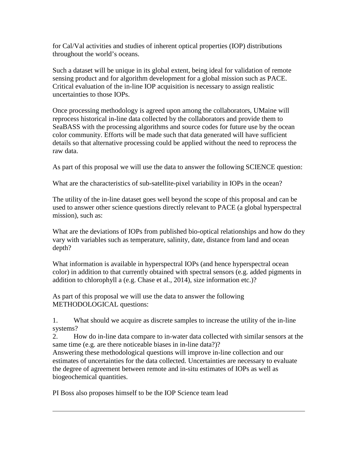for Cal/Val activities and studies of inherent optical properties (IOP) distributions throughout the world's oceans.

Such a dataset will be unique in its global extent, being ideal for validation of remote sensing product and for algorithm development for a global mission such as PACE. Critical evaluation of the in-line IOP acquisition is necessary to assign realistic uncertainties to those IOPs.

Once processing methodology is agreed upon among the collaborators, UMaine will reprocess historical in-line data collected by the collaborators and provide them to SeaBASS with the processing algorithms and source codes for future use by the ocean color community. Efforts will be made such that data generated will have sufficient details so that alternative processing could be applied without the need to reprocess the raw data.

As part of this proposal we will use the data to answer the following SCIENCE question:

What are the characteristics of sub-satellite-pixel variability in IOPs in the ocean?

The utility of the in-line dataset goes well beyond the scope of this proposal and can be used to answer other science questions directly relevant to PACE (a global hyperspectral mission), such as:

What are the deviations of IOPs from published bio-optical relationships and how do they vary with variables such as temperature, salinity, date, distance from land and ocean depth?

What information is available in hyperspectral IOPs (and hence hyperspectral ocean color) in addition to that currently obtained with spectral sensors (e.g. added pigments in addition to chlorophyll a (e.g. Chase et al., 2014), size information etc.)?

As part of this proposal we will use the data to answer the following METHODOLOGICAL questions:

1. What should we acquire as discrete samples to increase the utility of the in-line systems?

2. How do in-line data compare to in-water data collected with similar sensors at the same time (e.g. are there noticeable biases in in-line data?)?

Answering these methodological questions will improve in-line collection and our estimates of uncertainties for the data collected. Uncertainties are necessary to evaluate the degree of agreement between remote and in-situ estimates of IOPs as well as biogeochemical quantities.

PI Boss also proposes himself to be the IOP Science team lead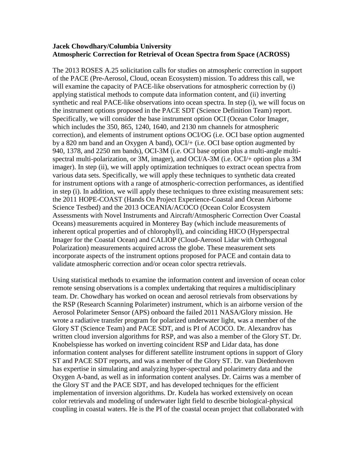### **Jacek Chowdhary/Columbia University Atmospheric Correction for Retrieval of Ocean Spectra from Space (ACROSS)**

The 2013 ROSES A.25 solicitation calls for studies on atmospheric correction in support of the PACE (Pre-Aerosol, Cloud, ocean Ecosystem) mission. To address this call, we will examine the capacity of PACE-like observations for atmospheric correction by (i) applying statistical methods to compute data information content, and (ii) inverting synthetic and real PACE-like observations into ocean spectra. In step (i), we will focus on the instrument options proposed in the PACE SDT (Science Definition Team) report. Specifically, we will consider the base instrument option OCI (Ocean Color Imager, which includes the 350, 865, 1240, 1640, and 2130 nm channels for atmospheric correction), and elements of instrument options OCI/OG (i.e. OCI base option augmented by a 820 nm band and an Oxygen A band), OCI/+ (i.e. OCI base option augmented by 940, 1378, and 2250 nm bands), OCI-3M (i.e. OCI base option plus a multi-angle multispectral multi-polarization, or 3M, imager), and OCI/A-3M (i.e. OCI/+ option plus a 3M imager). In step (ii), we will apply optimization techniques to extract ocean spectra from various data sets. Specifically, we will apply these techniques to synthetic data created for instrument options with a range of atmospheric-correction performances, as identified in step (i). In addition, we will apply these techniques to three existing measurement sets: the 2011 HOPE-COAST (Hands On Project Experience-Coastal and Ocean Airborne Science Testbed) and the 2013 OCEANIA/ACOCO (Ocean Color Ecosystem Assessments with Novel Instruments and Aircraft/Atmospheric Correction Over Coastal Oceans) measurements acquired in Monterey Bay (which include measurements of inherent optical properties and of chlorophyll), and coinciding HICO (Hyperspectral Imager for the Coastal Ocean) and CALIOP (Cloud-Aerosol Lidar with Orthogonal Polarization) measurements acquired across the globe. These measurement sets incorporate aspects of the instrument options proposed for PACE and contain data to validate atmospheric correction and/or ocean color spectra retrievals.

Using statistical methods to examine the information content and inversion of ocean color remote sensing observations is a complex undertaking that requires a multidisciplinary team. Dr. Chowdhary has worked on ocean and aerosol retrievals from observations by the RSP (Research Scanning Polarimeter) instrument, which is an airborne version of the Aerosol Polarimeter Sensor (APS) onboard the failed 2011 NASA/Glory mission. He wrote a radiative transfer program for polarized underwater light, was a member of the Glory ST (Science Team) and PACE SDT, and is PI of ACOCO. Dr. Alexandrov has written cloud inversion algorithms for RSP, and was also a member of the Glory ST. Dr. Knobelspiesse has worked on inverting coincident RSP and Lidar data, has done information content analyses for different satellite instrument options in support of Glory ST and PACE SDT reports, and was a member of the Glory ST. Dr. van Diedenhoven has expertise in simulating and analyzing hyper-spectral and polarimetry data and the Oxygen A-band, as well as in information content analyses. Dr. Cairns was a member of the Glory ST and the PACE SDT, and has developed techniques for the efficient implementation of inversion algorithms. Dr. Kudela has worked extensively on ocean color retrievals and modeling of underwater light field to describe biological-physical coupling in coastal waters. He is the PI of the coastal ocean project that collaborated with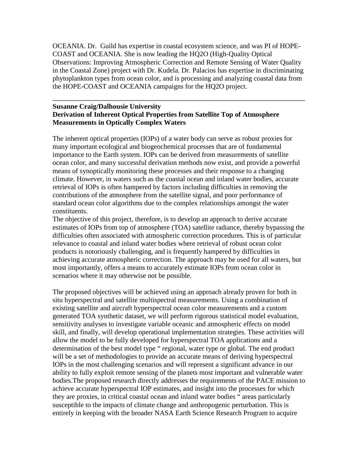OCEANIA. Dr. Guild has expertise in coastal ecosystem science, and was PI of HOPE-COAST and OCEANIA. She is now leading the HQ2O (High-Quality Optical Observations: Improving Atmospheric Correction and Remote Sensing of Water Quality in the Coastal Zone) project with Dr. Kudela. Dr. Palacios has expertise in discriminating phytoplankton types from ocean color, and is processing and analyzing coastal data from the HOPE-COAST and OCEANIA campaigns for the HQ2O project.

#### **Susanne Craig/Dalhousie University Derivation of Inherent Optical Properties from Satellite Top of Atmosphere Measurements in Optically Complex Waters**

The inherent optical properties (IOPs) of a water body can serve as robust proxies for many important ecological and biogeochemical processes that are of fundamental importance to the Earth system. IOPs can be derived from measurements of satellite ocean color, and many successful derivation methods now exist, and provide a powerful means of synoptically monitoring these processes and their response to a changing climate. However, in waters such as the coastal ocean and inland water bodies, accurate retrieval of IOPs is often hampered by factors including difficulties in removing the contributions of the atmosphere from the satellite signal, and poor performance of standard ocean color algorithms due to the complex relationships amongst the water constituents.

The objective of this project, therefore, is to develop an approach to derive accurate estimates of IOPs from top of atmosphere (TOA) satellite radiance, thereby bypassing the difficulties often associated with atmospheric correction procedures. This is of particular relevance to coastal and inland water bodies where retrieval of robust ocean color products is notoriously challenging, and is frequently hampered by difficulties in achieving accurate atmospheric correction. The approach may be used for all waters, but most importantly, offers a means to accurately estimate IOPs from ocean color in scenarios where it may otherwise not be possible.

The proposed objectives will be achieved using an approach already proven for both in situ hyperspectral and satellite multispectral measurements. Using a combination of existing satellite and aircraft hyperspectral ocean color measurements and a custom generated TOA synthetic dataset, we will perform rigorous statistical model evaluation, sensitivity analyses to investigate variable oceanic and atmospheric effects on model skill, and finally, will develop operational implementation strategies. These activities will allow the model to be fully developed for hyperspectral TOA applications and a determination of the best model type " regional, water type or global. The end product will be a set of methodologies to provide an accurate means of deriving hyperspectral IOPs in the most challenging scenarios and will represent a significant advance in our ability to fully exploit remote sensing of the planets most important and vulnerable water bodies.The proposed research directly addresses the requirements of the PACE mission to achieve accurate hyperspectral IOP estimates, and insight into the processes for which they are proxies, in critical coastal ocean and inland water bodies " areas particularly susceptible to the impacts of climate change and anthropogenic perturbation. This is entirely in keeping with the broader NASA Earth Science Research Program to acquire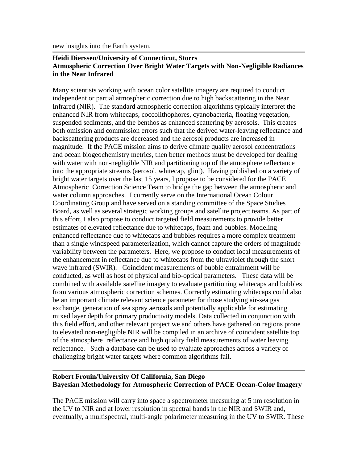new insights into the Earth system.

### **Heidi Dierssen/University of Connecticut, Storrs Atmospheric Correction Over Bright Water Targets with Non-Negligible Radiances in the Near Infrared**

Many scientists working with ocean color satellite imagery are required to conduct independent or partial atmospheric correction due to high backscattering in the Near Infrared (NIR). The standard atmospheric correction algorithms typically interpret the enhanced NIR from whitecaps, coccolithophores, cyanobacteria, floating vegetation, suspended sediments, and the benthos as enhanced scattering by aerosols. This creates both omission and commission errors such that the derived water-leaving reflectance and backscattering products are decreased and the aerosol products are increased in magnitude. If the PACE mission aims to derive climate quality aerosol concentrations and ocean biogeochemistry metrics, then better methods must be developed for dealing with water with non-negligible NIR and partitioning top of the atmosphere reflectance into the appropriate streams (aerosol, whitecap, glint). Having published on a variety of bright water targets over the last 15 years, I propose to be considered for the PACE Atmospheric Correction Science Team to bridge the gap between the atmospheric and water column approaches. I currently serve on the International Ocean Colour Coordinating Group and have served on a standing committee of the Space Studies Board, as well as several strategic working groups and satellite project teams. As part of this effort, I also propose to conduct targeted field measurements to provide better estimates of elevated reflectance due to whitecaps, foam and bubbles. Modeling enhanced reflectance due to whitecaps and bubbles requires a more complex treatment than a single windspeed parameterization, which cannot capture the orders of magnitude variability between the parameters. Here, we propose to conduct local measurements of the enhancement in reflectance due to whitecaps from the ultraviolet through the short wave infrared (SWIR). Coincident measurements of bubble entrainment will be conducted, as well as host of physical and bio-optical parameters. These data will be combined with available satellite imagery to evaluate partitioning whitecaps and bubbles from various atmospheric correction schemes. Correctly estimating whitecaps could also be an important climate relevant science parameter for those studying air-sea gas exchange, generation of sea spray aerosols and potentially applicable for estimating mixed layer depth for primary productivity models. Data collected in conjunction with this field effort, and other relevant project we and others have gathered on regions prone to elevated non-negligible NIR will be compiled in an archive of coincident satellite top of the atmosphere reflectance and high quality field measurements of water leaving reflectance. Such a database can be used to evaluate approaches across a variety of challenging bright water targets where common algorithms fail.

### **Robert Frouin/University Of California, San Diego Bayesian Methodology for Atmospheric Correction of PACE Ocean-Color Imagery**

The PACE mission will carry into space a spectrometer measuring at 5 nm resolution in the UV to NIR and at lower resolution in spectral bands in the NIR and SWIR and, eventually, a multispectral, multi-angle polarimeter measuring in the UV to SWIR. These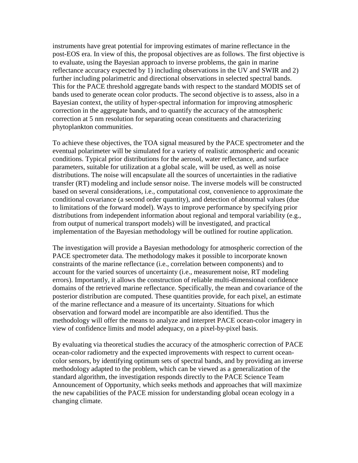instruments have great potential for improving estimates of marine reflectance in the post-EOS era. In view of this, the proposal objectives are as follows. The first objective is to evaluate, using the Bayesian approach to inverse problems, the gain in marine reflectance accuracy expected by 1) including observations in the UV and SWIR and 2) further including polarimetric and directional observations in selected spectral bands. This for the PACE threshold aggregate bands with respect to the standard MODIS set of bands used to generate ocean color products. The second objective is to assess, also in a Bayesian context, the utility of hyper-spectral information for improving atmospheric correction in the aggregate bands, and to quantify the accuracy of the atmospheric correction at 5 nm resolution for separating ocean constituents and characterizing phytoplankton communities.

To achieve these objectives, the TOA signal measured by the PACE spectrometer and the eventual polarimeter will be simulated for a variety of realistic atmospheric and oceanic conditions. Typical prior distributions for the aerosol, water reflectance, and surface parameters, suitable for utilization at a global scale, will be used, as well as noise distributions. The noise will encapsulate all the sources of uncertainties in the radiative transfer (RT) modeling and include sensor noise. The inverse models will be constructed based on several considerations, i.e., computational cost, convenience to approximate the conditional covariance (a second order quantity), and detection of abnormal values (due to limitations of the forward model). Ways to improve performance by specifying prior distributions from independent information about regional and temporal variability (e.g., from output of numerical transport models) will be investigated, and practical implementation of the Bayesian methodology will be outlined for routine application.

The investigation will provide a Bayesian methodology for atmospheric correction of the PACE spectrometer data. The methodology makes it possible to incorporate known constraints of the marine reflectance (i.e., correlation between components) and to account for the varied sources of uncertainty (i.e., measurement noise, RT modeling errors). Importantly, it allows the construction of reliable multi-dimensional confidence domains of the retrieved marine reflectance. Specifically, the mean and covariance of the posterior distribution are computed. These quantities provide, for each pixel, an estimate of the marine reflectance and a measure of its uncertainty. Situations for which observation and forward model are incompatible are also identified. Thus the methodology will offer the means to analyze and interpret PACE ocean-color imagery in view of confidence limits and model adequacy, on a pixel-by-pixel basis.

By evaluating via theoretical studies the accuracy of the atmospheric correction of PACE ocean-color radiometry and the expected improvements with respect to current oceancolor sensors, by identifying optimum sets of spectral bands, and by providing an inverse methodology adapted to the problem, which can be viewed as a generalization of the standard algorithm, the investigation responds directly to the PACE Science Team Announcement of Opportunity, which seeks methods and approaches that will maximize the new capabilities of the PACE mission for understanding global ocean ecology in a changing climate.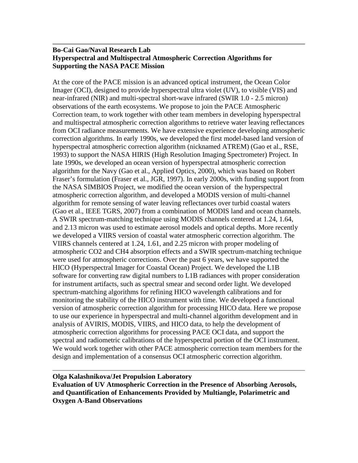### **Bo-Cai Gao/Naval Research Lab Hyperspectral and Multispectral Atmospheric Correction Algorithms for Supporting the NASA PACE Mission**

At the core of the PACE mission is an advanced optical instrument, the Ocean Color Imager (OCI), designed to provide hyperspectral ultra violet (UV), to visible (VIS) and near-infrared (NIR) and multi-spectral short-wave infrared (SWIR 1.0 - 2.5 micron) observations of the earth ecosystems. We propose to join the PACE Atmospheric Correction team, to work together with other team members in developing hyperspectral and multispectral atmospheric correction algorithms to retrieve water leaving reflectances from OCI radiance measurements. We have extensive experience developing atmospheric correction algorithms. In early 1990s, we developed the first model-based land version of hyperspectral atmospheric correction algorithm (nicknamed ATREM) (Gao et al., RSE, 1993) to support the NASA HIRIS (High Resolution Imaging Spectrometer) Project. In late 1990s, we developed an ocean version of hyperspectral atmospheric correction algorithm for the Navy (Gao et al., Applied Optics, 2000), which was based on Robert Fraser's formulation (Fraser et al., JGR, 1997). In early 2000s, with funding support from the NASA SIMBIOS Project, we modified the ocean version of the hyperspectral atmospheric correction algorithm, and developed a MODIS version of multi-channel algorithm for remote sensing of water leaving reflectances over turbid coastal waters (Gao et al., IEEE TGRS, 2007) from a combination of MODIS land and ocean channels. A SWIR spectrum-matching technique using MODIS channels centered at 1.24, 1.64, and 2.13 micron was used to estimate aerosol models and optical depths. More recently we developed a VIIRS version of coastal water atmospheric correction algorithm. The VIIRS channels centered at 1.24, 1.61, and 2.25 micron with proper modeling of atmospheric CO2 and CH4 absorption effects and a SWIR spectrum-matching technique were used for atmospheric corrections. Over the past 6 years, we have supported the HICO (Hyperspectral Imager for Coastal Ocean) Project. We developed the L1B software for converting raw digital numbers to L1B radiances with proper consideration for instrument artifacts, such as spectral smear and second order light. We developed spectrum-matching algorithms for refining HICO wavelength calibrations and for monitoring the stability of the HICO instrument with time. We developed a functional version of atmospheric correction algorithm for processing HICO data. Here we propose to use our experience in hyperspectral and multi-channel algorithm development and in analysis of AVIRIS, MODIS, VIIRS, and HICO data, to help the development of atmospheric correction algorithms for processing PACE OCI data, and support the spectral and radiometric calibrations of the hyperspectral portion of the OCI instrument. We would work together with other PACE atmospheric correction team members for the design and implementation of a consensus OCI atmospheric correction algorithm.

## **Olga Kalashnikova/Jet Propulsion Laboratory Evaluation of UV Atmospheric Correction in the Presence of Absorbing Aerosols, and Quantification of Enhancements Provided by Multiangle, Polarimetric and Oxygen A-Band Observations**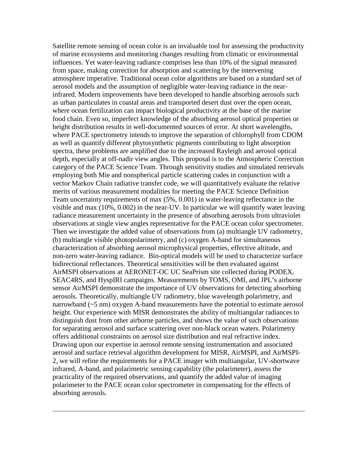Satellite remote sensing of ocean color is an invaluable tool for assessing the productivity of marine ecosystems and monitoring changes resulting from climatic or environmental influences. Yet water-leaving radiance comprises less than 10% of the signal measured from space, making correction for absorption and scattering by the intervening atmosphere imperative. Traditional ocean color algorithms are based on a standard set of aerosol models and the assumption of negligible water-leaving radiance in the nearinfrared. Modern improvements have been developed to handle absorbing aerosols such as urban particulates in coastal areas and transported desert dust over the open ocean, where ocean fertilization can impact biological productivity at the base of the marine food chain. Even so, imperfect knowledge of the absorbing aerosol optical properties or height distribution results in well-documented sources of error. At short wavelengths, where PACE spectrometry intends to improve the separation of chlorophyll from CDOM as well as quantify different phytosynthetic pigments contributing to light absorption spectra, these problems are amplified due to the increased Rayleigh and aerosol optical depth, especially at off-nadir view angles. This proposal is to the Atmospheric Correction category of the PACE Science Team. Through sensitivity studies and simulated retrievals employing both Mie and nonspherical particle scattering codes in conjunction with a vector Markov Chain radiative transfer code, we will quantitatively evaluate the relative merits of various measurement modalities for meeting the PACE Science Definition Team uncertainty requirements of max (5%, 0.001) in water-leaving reflectance in the visible and max (10%, 0.002) in the near-UV. In particular we will quantify water leaving radiance measurement uncertainty in the presence of absorbing aerosols from ultraviolet observations at single view angles representative for the PACE ocean color spectrometer. Then we investigate the added value of observations from (a) multiangle UV radiometry, (b) multiangle visible photopolarimetry, and (c) oxygen A-band for simultaneous characterization of absorbing aerosol microphysical properties, effective altitude, and non-zero water-leaving radiance. Bio-optical models will be used to characterize surface bidirectional reflectances. Theoretical sensitivities will be then evaluated against AirMSPI observations at AERONET-OC UC SeaPrism site collected during PODEX, SEAC4RS, and HyspIRI campaigns. Measurements by TOMS, OMI, and JPL's airborne sensor AirMSPI demonstrate the importance of UV observations for detecting absorbing aerosols. Theoretically, multiangle UV radiometry, blue wavelength polarimetry, and narrowband (~5 nm) oxygen A-band measurements have the potential to estimate aerosol height. Our experience with MISR demonstrates the ability of multiangular radiances to distinguish dust from other airborne particles, and shows the value of such observations for separating aerosol and surface scattering over non-black ocean waters. Polarimetry offers additional constraints on aerosol size distribution and real refractive index. Drawing upon our expertise in aerosol remote sensing instrumentation and associated aerosol and surface retrieval algorithm development for MISR, AirMSPI, and AirMSPI-2, we will refine the requirements for a PACE imager with multiangular, UV-shortwave infrared, A-band, and polarimetric sensing capability (the polarimeter), assess the practicality of the required observations, and quantify the added value of imaging polarimeter to the PACE ocean color spectrometer in compensating for the effects of absorbing aerosols.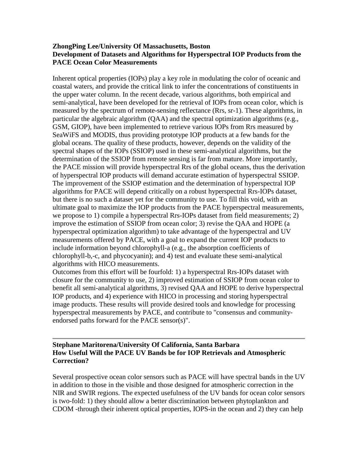## **ZhongPing Lee/University Of Massachusetts, Boston Development of Datasets and Algorithms for Hyperspectral IOP Products from the PACE Ocean Color Measurements**

Inherent optical properties (IOPs) play a key role in modulating the color of oceanic and coastal waters, and provide the critical link to infer the concentrations of constituents in the upper water column. In the recent decade, various algorithms, both empirical and semi-analytical, have been developed for the retrieval of IOPs from ocean color, which is measured by the spectrum of remote-sensing reflectance (Rrs, sr-1). These algorithms, in particular the algebraic algorithm (QAA) and the spectral optimization algorithms (e.g., GSM, GIOP), have been implemented to retrieve various IOPs from Rrs measured by SeaWiFS and MODIS, thus providing prototype IOP products at a few bands for the global oceans. The quality of these products, however, depends on the validity of the spectral shapes of the IOPs (SSIOP) used in these semi-analytical algorithms, but the determination of the SSIOP from remote sensing is far from mature. More importantly, the PACE mission will provide hyperspectral Rrs of the global oceans, thus the derivation of hyperspectral IOP products will demand accurate estimation of hyperspectral SSIOP. The improvement of the SSIOP estimation and the determination of hyperspectral IOP algorithms for PACE will depend critically on a robust hyperspectral Rrs-IOPs dataset, but there is no such a dataset yet for the community to use. To fill this void, with an ultimate goal to maximize the IOP products from the PACE hyperspectral measurements, we propose to 1) compile a hyperspectral Rrs-IOPs dataset from field measurements; 2) improve the estimation of SSIOP from ocean color; 3) revise the QAA and HOPE (a hyperspectral optimization algorithm) to take advantage of the hyperspectral and UV measurements offered by PACE, with a goal to expand the current IOP products to include information beyond chlorophyll-a (e.g., the absorption coefficients of chlorophyll-b,-c, and phycocyanin); and 4) test and evaluate these semi-analytical algorithms with HICO measurements.

Outcomes from this effort will be fourfold: 1) a hyperspectral Rrs-IOPs dataset with closure for the community to use, 2) improved estimation of SSIOP from ocean color to benefit all semi-analytical algorithms, 3) revised QAA and HOPE to derive hyperspectral IOP products, and 4) experience with HICO in processing and storing hyperspectral image products. These results will provide desired tools and knowledge for processing hyperspectral measurements by PACE, and contribute to "consensus and communityendorsed paths forward for the PACE sensor(s)".

## **Stephane Maritorena/University Of California, Santa Barbara How Useful Will the PACE UV Bands be for IOP Retrievals and Atmospheric Correction?**

Several prospective ocean color sensors such as PACE will have spectral bands in the UV in addition to those in the visible and those designed for atmospheric correction in the NIR and SWIR regions. The expected usefulness of the UV bands for ocean color sensors is two-fold: 1) they should allow a better discrimination between phytoplankton and CDOM -through their inherent optical properties, IOPS-in the ocean and 2) they can help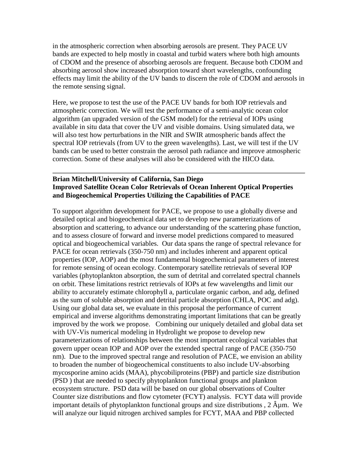in the atmospheric correction when absorbing aerosols are present. They PACE UV bands are expected to help mostly in coastal and turbid waters where both high amounts of CDOM and the presence of absorbing aerosols are frequent. Because both CDOM and absorbing aerosol show increased absorption toward short wavelengths, confounding effects may limit the ability of the UV bands to discern the role of CDOM and aerosols in the remote sensing signal.

Here, we propose to test the use of the PACE UV bands for both IOP retrievals and atmospheric correction. We will test the performance of a semi-analytic ocean color algorithm (an upgraded version of the GSM model) for the retrieval of IOPs using available in situ data that cover the UV and visible domains. Using simulated data, we will also test how perturbations in the NIR and SWIR atmospheric bands affect the spectral IOP retrievals (from UV to the green wavelengths). Last, we will test if the UV bands can be used to better constrain the aerosol path radiance and improve atmospheric correction. Some of these analyses will also be considered with the HICO data.

### **Brian Mitchell/University of California, San Diego Improved Satellite Ocean Color Retrievals of Ocean Inherent Optical Properties and Biogeochemical Properties Utilizing the Capabilities of PACE**

To support algorithm development for PACE, we propose to use a globally diverse and detailed optical and biogeochemical data set to develop new parameterizations of absorption and scattering, to advance our understanding of the scattering phase function, and to assess closure of forward and inverse model predictions compared to measured optical and biogeochemical variables. Our data spans the range of spectral relevance for PACE for ocean retrievals (350-750 nm) and includes inherent and apparent optical properties (IOP, AOP) and the most fundamental biogeochemical parameters of interest for remote sensing of ocean ecology. Contemporary satellite retrievals of several IOP variables (phytoplankton absorption, the sum of detrital and correlated spectral channels on orbit. These limitations restrict retrievals of IOPs at few wavelengths and limit our ability to accurately estimate chlorophyll a, particulate organic carbon, and adg, defined as the sum of soluble absorption and detrital particle absorption (CHLA, POC and adg). Using our global data set, we evaluate in this proposal the performance of current empirical and inverse algorithms demonstrating important limitations that can be greatly improved by the work we propose. Combining our uniquely detailed and global data set with UV-Vis numerical modeling in Hydrolight we propose to develop new parameterizations of relationships between the most important ecological variables that govern upper ocean IOP and AOP over the extended spectral range of PACE (350-750 nm). Due to the improved spectral range and resolution of PACE, we envision an ability to broaden the number of biogeochemical constituents to also include UV-absorbing mycosporine amino acids (MAA), phycobiliproteins (PBP) and particle size distribution (PSD ) that are needed to specify phytoplankton functional groups and plankton ecosystem structure. PSD data will be based on our global observations of Coulter Counter size distributions and flow cytometer (FCYT) analysis. FCYT data will provide important details of phytoplankton functional groups and size distributions,  $2 \hat{A} \mu$ m. We will analyze our liquid nitrogen archived samples for FCYT, MAA and PBP collected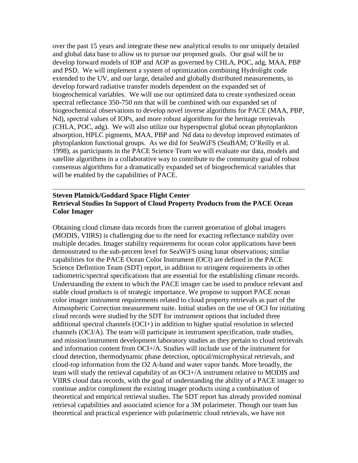over the past 15 years and integrate these new analytical results to our uniquely detailed and global data base to allow us to pursue our proposed goals. Our goal will be to develop forward models of IOP and AOP as governed by CHLA, POC, adg, MAA, PBP and PSD. We will implement a system of optimization combining Hydrolight code extended to the UV, and our large, detailed and globally distributed measurements, to develop forward radiative transfer models dependent on the expanded set of biogeochemical variables. We will use our optimized data to create synthesized ocean spectral reflectance 350-750 nm that will be combined with our expanded set of biogeochemical observations to develop novel inverse algorithms for PACE (MAA, PBP, Nd), spectral values of IOPs, and more robust algorithms for the heritage retrievals (CHLA, POC, adg). We will also utilize our hyperspectral global ocean phytoplankton absorption, HPLC pigments, MAA, PBP and Nd data to develop improved estimates of phytoplankton functional groups. As we did for SeaWiFS (SeaBAM; O'Reilly et al. 1998), as participants in the PACE Science Team we will evaluate our data, models and satellite algorithms in a collaborative way to contribute to the community goal of robust consensus algorithms for a dramatically expanded set of biogeochemical variables that will be enabled by the capabilities of PACE.

### **Steven Platnick/Goddard Space Flight Center Retrieval Studies In Support of Cloud Property Products from the PACE Ocean Color Imager**

Obtaining cloud climate data records from the current generation of global imagers (MODIS, VIIRS) is challenging due to the need for exacting reflectance stability over multiple decades. Imager stability requirements for ocean color applications have been demonstrated to the sub-percent level for SeaWiFS using lunar observations; similar capabilities for the PACE Ocean Color Instrument (OCI) are defined in the PACE Science Definition Team (SDT) report, in addition to stringent requirements in other radiometric/spectral specifications that are essential for the establishing climate records. Understanding the extent to which the PACE imager can be used to produce relevant and stable cloud products is of strategic importance. We propose to support PACE ocean color imager instrument requirements related to cloud property retrievals as part of the Atmospheric Correction measurement suite. Initial studies on the use of OCI for initiating cloud records were studied by the SDT for instrument options that included three additional spectral channels (OCI+) in addition to higher spatial resolution in selected channels (OCI/A). The team will participate in instrument specification, trade studies, and mission/instrument development laboratory studies as they pertain to cloud retrievals and information content from OCI+/A. Studies will include use of the instrument for cloud detection, thermodynamic phase detection, optical/microphysical retrievals, and cloud-top information from the O2 A-band and water vapor bands. More broadly, the team will study the retrieval capability of an OCI+/A instrument relative to MODIS and VIIRS cloud data records, with the goal of understanding the ability of a PACE imager to continue and/or compliment the existing imager products using a combination of theoretical and empirical retrieval studies. The SDT report has already provided nominal retrieval capabilities and associated science for a 3M polarimeter. Though our team has theoretical and practical experience with polarimetric cloud retrievals, we have not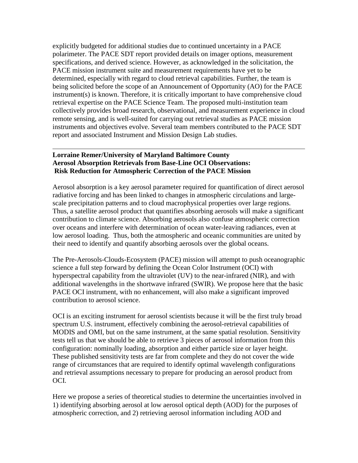explicitly budgeted for additional studies due to continued uncertainty in a PACE polarimeter. The PACE SDT report provided details on imager options, measurement specifications, and derived science. However, as acknowledged in the solicitation, the PACE mission instrument suite and measurement requirements have yet to be determined, especially with regard to cloud retrieval capabilities. Further, the team is being solicited before the scope of an Announcement of Opportunity (AO) for the PACE instrument(s) is known. Therefore, it is critically important to have comprehensive cloud retrieval expertise on the PACE Science Team. The proposed multi-institution team collectively provides broad research, observational, and measurement experience in cloud remote sensing, and is well-suited for carrying out retrieval studies as PACE mission instruments and objectives evolve. Several team members contributed to the PACE SDT report and associated Instrument and Mission Design Lab studies.

# **Lorraine Remer/University of Maryland Baltimore County Aerosol Absorption Retrievals from Base-Line OCI Observations: Risk Reduction for Atmospheric Correction of the PACE Mission**

Aerosol absorption is a key aerosol parameter required for quantification of direct aerosol radiative forcing and has been linked to changes in atmospheric circulations and largescale precipitation patterns and to cloud macrophysical properties over large regions. Thus, a satellite aerosol product that quantifies absorbing aerosols will make a significant contribution to climate science. Absorbing aerosols also confuse atmospheric correction over oceans and interfere with determination of ocean water-leaving radiances, even at low aerosol loading. Thus, both the atmospheric and oceanic communities are united by their need to identify and quantify absorbing aerosols over the global oceans.

The Pre-Aerosols-Clouds-Ecosystem (PACE) mission will attempt to push oceanographic science a full step forward by defining the Ocean Color Instrument (OCI) with hyperspectral capability from the ultraviolet (UV) to the near-infrared (NIR), and with additional wavelengths in the shortwave infrared (SWIR). We propose here that the basic PACE OCI instrument, with no enhancement, will also make a significant improved contribution to aerosol science.

OCI is an exciting instrument for aerosol scientists because it will be the first truly broad spectrum U.S. instrument, effectively combining the aerosol-retrieval capabilities of MODIS and OMI, but on the same instrument, at the same spatial resolution. Sensitivity tests tell us that we should be able to retrieve 3 pieces of aerosol information from this configuration: nominally loading, absorption and either particle size or layer height. These published sensitivity tests are far from complete and they do not cover the wide range of circumstances that are required to identify optimal wavelength configurations and retrieval assumptions necessary to prepare for producing an aerosol product from OCI.

Here we propose a series of theoretical studies to determine the uncertainties involved in 1) identifying absorbing aerosol at low aerosol optical depth (AOD) for the purposes of atmospheric correction, and 2) retrieving aerosol information including AOD and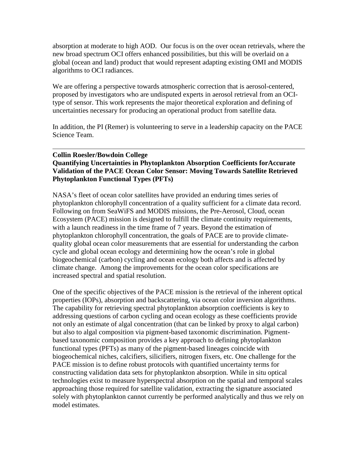absorption at moderate to high AOD. Our focus is on the over ocean retrievals, where the new broad spectrum OCI offers enhanced possibilities, but this will be overlaid on a global (ocean and land) product that would represent adapting existing OMI and MODIS algorithms to OCI radiances.

We are offering a perspective towards atmospheric correction that is aerosol-centered, proposed by investigators who are undisputed experts in aerosol retrieval from an OCItype of sensor. This work represents the major theoretical exploration and defining of uncertainties necessary for producing an operational product from satellite data.

In addition, the PI (Remer) is volunteering to serve in a leadership capacity on the PACE Science Team.

# **Collin Roesler/Bowdoin College Quantifying Uncertainties in Phytoplankton Absorption Coefficients forAccurate Validation of the PACE Ocean Color Sensor: Moving Towards Satellite Retrieved Phytoplankton Functional Types (PFTs)**

NASA's fleet of ocean color satellites have provided an enduring times series of phytoplankton chlorophyll concentration of a quality sufficient for a climate data record. Following on from SeaWiFS and MODIS missions, the Pre-Aerosol, Cloud, ocean Ecosystem (PACE) mission is designed to fulfill the climate continuity requirements, with a launch readiness in the time frame of 7 years. Beyond the estimation of phytoplankton chlorophyll concentration, the goals of PACE are to provide climatequality global ocean color measurements that are essential for understanding the carbon cycle and global ocean ecology and determining how the ocean's role in global biogeochemical (carbon) cycling and ocean ecology both affects and is affected by climate change. Among the improvements for the ocean color specifications are increased spectral and spatial resolution.

One of the specific objectives of the PACE mission is the retrieval of the inherent optical properties (IOPs), absorption and backscattering, via ocean color inversion algorithms. The capability for retrieving spectral phytoplankton absorption coefficients is key to addressing questions of carbon cycling and ocean ecology as these coefficients provide not only an estimate of algal concentration (that can be linked by proxy to algal carbon) but also to algal composition via pigment-based taxonomic discrimination. Pigmentbased taxonomic composition provides a key approach to defining phytoplankton functional types (PFTs) as many of the pigment-based lineages coincide with biogeochemical niches, calcifiers, silicifiers, nitrogen fixers, etc. One challenge for the PACE mission is to define robust protocols with quantified uncertainty terms for constructing validation data sets for phytoplankton absorption. While in situ optical technologies exist to measure hyperspectral absorption on the spatial and temporal scales approaching those required for satellite validation, extracting the signature associated solely with phytoplankton cannot currently be performed analytically and thus we rely on model estimates.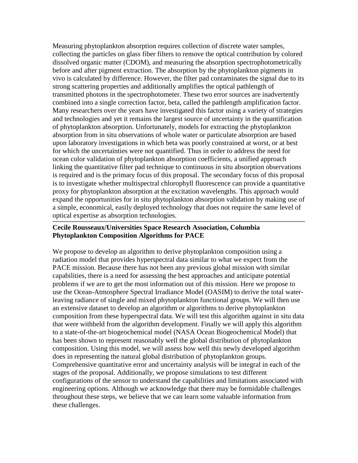Measuring phytoplankton absorption requires collection of discrete water samples, collecting the particles on glass fiber filters to remove the optical contribution by colored dissolved organic matter (CDOM), and measuring the absorption spectrophotometrically before and after pigment extraction. The absorption by the phytoplankton pigments in vivo is calculated by difference. However, the filter pad contaminates the signal due to its strong scattering properties and additionally amplifies the optical pathlength of transmitted photons in the spectrophotometer. These two error sources are inadvertently combined into a single correction factor, beta, called the pathlength amplification factor. Many researchers over the years have investigated this factor using a variety of strategies and technologies and yet it remains the largest source of uncertainty in the quantification of phytoplankton absorption. Unfortunately, models for extracting the phytoplankton absorption from in situ observations of whole water or particulate absorption are based upon laboratory investigations in which beta was poorly constrained at worst, or at best for which the uncertainties were not quantified. Thus in order to address the need for ocean color validation of phytoplankton absorption coefficients, a unified approach linking the quantitative filter pad technique to continuous in situ absorption observations is required and is the primary focus of this proposal. The secondary focus of this proposal is to investigate whether multispectral chlorophyll fluorescence can provide a quantitative proxy for phytoplankton absorption at the excitation wavelengths. This approach would expand the opportunities for in situ phytoplankton absorption validation by making use of a simple, economical, easily deployed technology that does not require the same level of optical expertise as absorption technologies.

# **Cecile Rousseaux/Universities Space Research Association, Columbia Phytoplankton Composition Algorithms for PACE**

We propose to develop an algorithm to derive phytoplankton composition using a radiation model that provides hyperspectral data similar to what we expect from the PACE mission. Because there has not been any previous global mission with similar capabilities, there is a need for assessing the best approaches and anticipate potential problems if we are to get the most information out of this mission. Here we propose to use the Ocean-Atmosphere Spectral Irradiance Model (OASIM) to derive the total waterleaving radiance of single and mixed phytoplankton functional groups. We will then use an extensive dataset to develop an algorithm or algorithms to derive phytoplankton composition from these hyperspectral data. We will test this algorithm against in situ data that were withheld from the algorithm development. Finally we will apply this algorithm to a state-of-the-art biogeochemical model (NASA Ocean Biogeochemical Model) that has been shown to represent reasonably well the global distribution of phytoplankton composition. Using this model, we will assess how well this newly developed algorithm does in representing the natural global distribution of phytoplankton groups. Comprehensive quantitative error and uncertainty analysis will be integral in each of the stages of the proposal. Additionally, we propose simulations to test different configurations of the sensor to understand the capabilities and limitations associated with engineering options. Although we acknowledge that there may be formidable challenges throughout these steps, we believe that we can learn some valuable information from these challenges.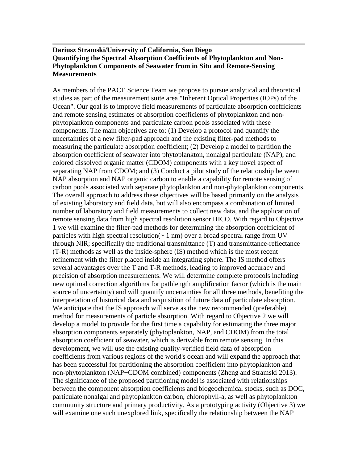## **Dariusz Stramski/University of California, San Diego Quantifying the Spectral Absorption Coefficients of Phytoplankton and Non-Phytoplankton Components of Seawater from in Situ and Remote-Sensing Measurements**

As members of the PACE Science Team we propose to pursue analytical and theoretical studies as part of the measurement suite area "Inherent Optical Properties (IOPs) of the Ocean". Our goal is to improve field measurements of particulate absorption coefficients and remote sensing estimates of absorption coefficients of phytoplankton and nonphytoplankton components and particulate carbon pools associated with these components. The main objectives are to: (1) Develop a protocol and quantify the uncertainties of a new filter-pad approach and the existing filter-pad methods to measuring the particulate absorption coefficient; (2) Develop a model to partition the absorption coefficient of seawater into phytoplankton, nonalgal particulate (NAP), and colored dissolved organic matter (CDOM) components with a key novel aspect of separating NAP from CDOM; and (3) Conduct a pilot study of the relationship between NAP absorption and NAP organic carbon to enable a capability for remote sensing of carbon pools associated with separate phytoplankton and non-phytoplankton components. The overall approach to address these objectives will be based primarily on the analysis of existing laboratory and field data, but will also encompass a combination of limited number of laboratory and field measurements to collect new data, and the application of remote sensing data from high spectral resolution sensor HICO. With regard to Objective 1 we will examine the filter-pad methods for determining the absorption coefficient of particles with high spectral resolution( $\sim 1$  nm) over a broad spectral range from UV through NIR; specifically the traditional transmittance (T) and transmittance-reflectance (T-R) methods as well as the inside-sphere (IS) method which is the most recent refinement with the filter placed inside an integrating sphere. The IS method offers several advantages over the T and T-R methods, leading to improved accuracy and precision of absorption measurements. We will determine complete protocols including new optimal correction algorithms for pathlength amplification factor (which is the main source of uncertainty) and will quantify uncertainties for all three methods, benefiting the interpretation of historical data and acquisition of future data of particulate absorption. We anticipate that the IS approach will serve as the new recommended (preferable) method for measurements of particle absorption. With regard to Objective 2 we will develop a model to provide for the first time a capability for estimating the three major absorption components separately (phytoplankton, NAP, and CDOM) from the total absorption coefficient of seawater, which is derivable from remote sensing. In this development, we will use the existing quality-verified field data of absorption coefficients from various regions of the world's ocean and will expand the approach that has been successful for partitioning the absorption coefficient into phytoplankton and non-phytoplankton (NAP+CDOM combined) components (Zheng and Stramski 2013). The significance of the proposed partitioning model is associated with relationships between the component absorption coefficients and biogeochemical stocks, such as DOC, particulate nonalgal and phytoplankton carbon, chlorophyll-a, as well as phytoplankton community structure and primary productivity. As a prototyping activity (Objective 3) we will examine one such unexplored link, specifically the relationship between the NAP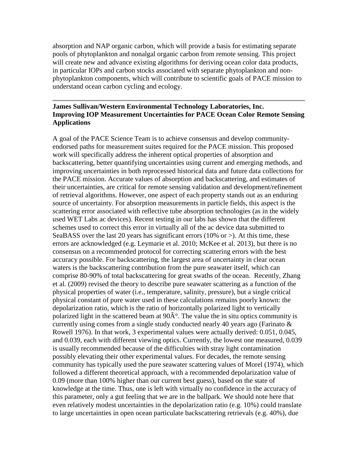absorption and NAP organic carbon, which will provide a basis for estimating separate pools of phytoplankton and nonalgal organic carbon from remote sensing. This project will create new and advance existing algorithms for deriving ocean color data products, in particular IOPs and carbon stocks associated with separate phytoplankton and nonphytoplankton components, which will contribute to scientific goals of PACE mission to understand ocean carbon cycling and ecology.

### **James Sullivan/Western Environmental Technology Laboratories, Inc. Improving IOP Measurement Uncertainties for PACE Ocean Color Remote Sensing Applications**

A goal of the PACE Science Team is to achieve consensus and develop communityendorsed paths for measurement suites required for the PACE mission. This proposed work will specifically address the inherent optical properties of absorption and backscattering, better quantifying uncertainties using current and emerging methods, and improving uncertainties in both reprocessed historical data and future data collections for the PACE mission. Accurate values of absorption and backscattering, and estimates of their uncertainties, are critical for remote sensing validation and development/refinement of retrieval algorithms. However, one aspect of each property stands out as an enduring source of uncertainty. For absorption measurements in particle fields, this aspect is the scattering error associated with reflective tube absorption technologies (as in the widely used WET Labs ac devices). Recent testing in our labs has shown that the different schemes used to correct this error in virtually all of the ac device data submitted to SeaBASS over the last 20 years has significant errors (10% or  $>$ ). At this time, these errors are acknowledged (e.g. Leymarie et al. 2010; McKee et al. 2013), but there is no consensus on a recommended protocol for correcting scattering errors with the best accuracy possible. For backscattering, the largest area of uncertainty in clear ocean waters is the backscattering contribution from the pure seawater itself, which can comprise 80-90% of total backscattering for great swaths of the ocean. Recently, Zhang et al. (2009) revised the theory to describe pure seawater scattering as a function of the physical properties of water (i.e., temperature, salinity, pressure), but a single critical physical constant of pure water used in these calculations remains poorly known: the depolarization ratio, which is the ratio of horizontally polarized light to vertically polarized light in the scattered beam at  $90\hat{A}^{\circ}$ . The value the in situ optics community is currently using comes from a single study conducted nearly 40 years ago (Farinato  $\&$ Rowell 1976). In that work, 3 experimental values were actually derived: 0.051, 0.045, and 0.039, each with different viewing optics. Currently, the lowest one measured, 0.039 is usually recommended because of the difficulties with stray light contamination possibly elevating their other experimental values. For decades, the remote sensing community has typically used the pure seawater scattering values of Morel (1974), which followed a different theoretical approach, with a recommended depolarization value of 0.09 (more than 100% higher than our current best guess), based on the state of knowledge at the time. Thus, one is left with virtually no confidence in the accuracy of this parameter, only a gut feeling that we are in the ballpark. We should note here that even relatively modest uncertainties in the depolarization ratio (e.g. 10%) could translate to large uncertainties in open ocean particulate backscattering retrievals (e.g. 40%), due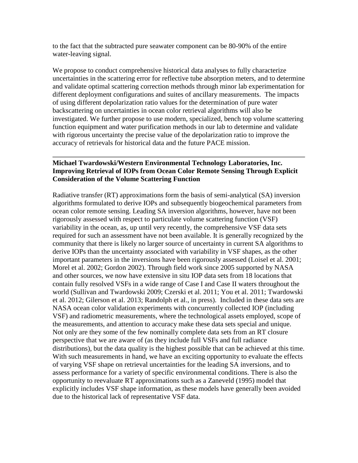to the fact that the subtracted pure seawater component can be 80-90% of the entire water-leaving signal.

We propose to conduct comprehensive historical data analyses to fully characterize uncertainties in the scattering error for reflective tube absorption meters, and to determine and validate optimal scattering correction methods through minor lab experimentation for different deployment configurations and suites of ancillary measurements. The impacts of using different depolarization ratio values for the determination of pure water backscattering on uncertainties in ocean color retrieval algorithms will also be investigated. We further propose to use modern, specialized, bench top volume scattering function equipment and water purification methods in our lab to determine and validate with rigorous uncertainty the precise value of the depolarization ratio to improve the accuracy of retrievals for historical data and the future PACE mission.

# **Michael Twardowski/Western Environmental Technology Laboratories, Inc. Improving Retrieval of IOPs from Ocean Color Remote Sensing Through Explicit Consideration of the Volume Scattering Function**

Radiative transfer (RT) approximations form the basis of semi-analytical (SA) inversion algorithms formulated to derive IOPs and subsequently biogeochemical parameters from ocean color remote sensing. Leading SA inversion algorithms, however, have not been rigorously assessed with respect to particulate volume scattering function (VSF) variability in the ocean, as, up until very recently, the comprehensive VSF data sets required for such an assessment have not been available. It is generally recognized by the community that there is likely no larger source of uncertainty in current SA algorithms to derive IOPs than the uncertainty associated with variability in VSF shapes, as the other important parameters in the inversions have been rigorously assessed (Loisel et al. 2001; Morel et al. 2002; Gordon 2002). Through field work since 2005 supported by NASA and other sources, we now have extensive in situ IOP data sets from 18 locations that contain fully resolved VSFs in a wide range of Case I and Case II waters throughout the world (Sullivan and Twardowski 2009; Czerski et al. 2011; You et al. 2011; Twardowski et al. 2012; Gilerson et al. 2013; Randolph et al., in press). Included in these data sets are NASA ocean color validation experiments with concurrently collected IOP (including VSF) and radiometric measurements, where the technological assets employed, scope of the measurements, and attention to accuracy make these data sets special and unique. Not only are they some of the few nominally complete data sets from an RT closure perspective that we are aware of (as they include full VSFs and full radiance distributions), but the data quality is the highest possible that can be achieved at this time. With such measurements in hand, we have an exciting opportunity to evaluate the effects of varying VSF shape on retrieval uncertainties for the leading SA inversions, and to assess performance for a variety of specific environmental conditions. There is also the opportunity to reevaluate RT approximations such as a Zaneveld (1995) model that explicitly includes VSF shape information, as these models have generally been avoided due to the historical lack of representative VSF data.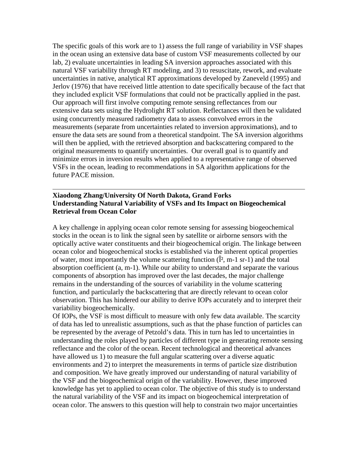The specific goals of this work are to 1) assess the full range of variability in VSF shapes in the ocean using an extensive data base of custom VSF measurements collected by our lab, 2) evaluate uncertainties in leading SA inversion approaches associated with this natural VSF variability through RT modeling, and 3) to resuscitate, rework, and evaluate uncertainties in native, analytical RT approximations developed by Zaneveld (1995) and Jerlov (1976) that have received little attention to date specifically because of the fact that they included explicit VSF formulations that could not be practically applied in the past. Our approach will first involve computing remote sensing reflectances from our extensive data sets using the Hydrolight RT solution. Reflectances will then be validated using concurrently measured radiometry data to assess convolved errors in the measurements (separate from uncertainties related to inversion approximations), and to ensure the data sets are sound from a theoretical standpoint. The SA inversion algorithms will then be applied, with the retrieved absorption and backscattering compared to the original measurements to quantify uncertainties. Our overall goal is to quantify and minimize errors in inversion results when applied to a representative range of observed VSFs in the ocean, leading to recommendations in SA algorithm applications for the future PACE mission.

#### **Xiaodong Zhang/University Of North Dakota, Grand Forks Understanding Natural Variability of VSFs and Its Impact on Biogeochemical Retrieval from Ocean Color**

A key challenge in applying ocean color remote sensing for assessing biogeochemical stocks in the ocean is to link the signal seen by satellite or airborne sensors with the optically active water constituents and their biogeochemical origin. The linkage between ocean color and biogeochemical stocks is established via the inherent optical properties of water, most importantly the volume scattering function  $(\hat{I}^2, m-1 \text{ sr-1})$  and the total absorption coefficient (a, m-1). While our ability to understand and separate the various components of absorption has improved over the last decades, the major challenge remains in the understanding of the sources of variability in the volume scattering function, and particularly the backscattering that are directly relevant to ocean color observation. This has hindered our ability to derive IOPs accurately and to interpret their variability biogeochemically.

Of IOPs, the VSF is most difficult to measure with only few data available. The scarcity of data has led to unrealistic assumptions, such as that the phase function of particles can be represented by the average of Petzold's data. This in turn has led to uncertainties in understanding the roles played by particles of different type in generating remote sensing reflectance and the color of the ocean. Recent technological and theoretical advances have allowed us 1) to measure the full angular scattering over a diverse aquatic environments and 2) to interpret the measurements in terms of particle size distribution and composition. We have greatly improved our understanding of natural variability of the VSF and the biogeochemical origin of the variability. However, these improved knowledge has yet to applied to ocean color. The objective of this study is to understand the natural variability of the VSF and its impact on biogeochemical interpretation of ocean color. The answers to this question will help to constrain two major uncertainties